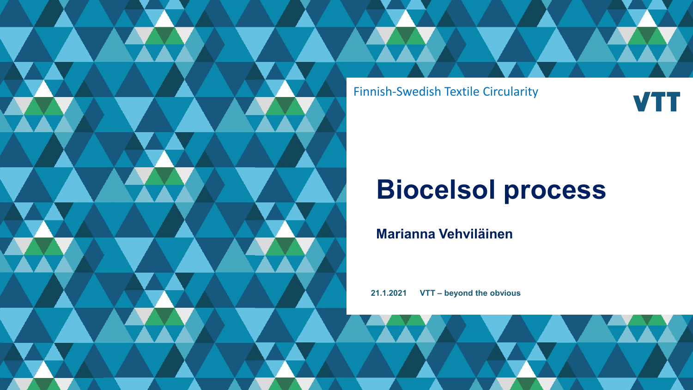Finnish-Swedish Textile Circularity

**VTT** 

# **Biocelsol process**

**Marianna Vehviläinen**

**21.1.2021 VTT – beyond the obvious**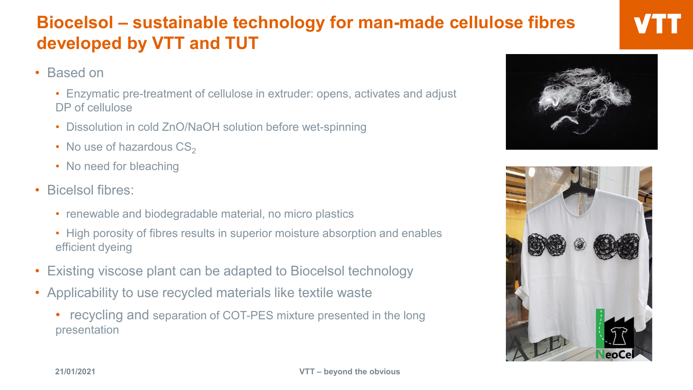### **Biocelsol – sustainable technology for man-made cellulose fibres developed by VTT and TUT**

- Based on
	- Enzymatic pre-treatment of cellulose in extruder: opens, activates and adjust DP of cellulose
	- Dissolution in cold ZnO/NaOH solution before wet-spinning
	- No use of hazardous  $CS_2$
	- No need for bleaching
- Bicelsol fibres:
	- renewable and biodegradable material, no micro plastics
	- High porosity of fibres results in superior moisture absorption and enables efficient dyeing
- Existing viscose plant can be adapted to Biocelsol technology
- Applicability to use recycled materials like textile waste
	- recycling and separation of COT-PES mixture presented in the long presentation